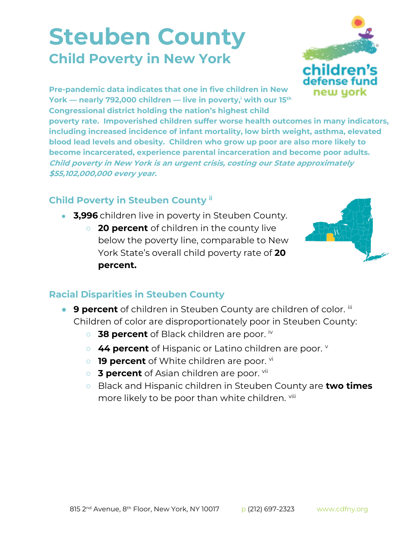## **Steuben County Child Poverty in New York**



**Pre-pandemic data indicates that one in five children in New York — nearly 792,000 children — live in poverty,<sup>i</sup> with our 15th Congressional district holding the nation's highest child** 

**poverty rate. Impoverished children suffer worse health outcomes in many indicators, including increased incidence of infant mortality, low birth weight, asthma, elevated blood lead levels and obesity. Children who grow up poor are also more likely to become incarcerated, experience parental incarceration and become poor adults. Child poverty in New York is an urgent crisis, costing our State approximately \$55,102,000,000 every year.**

## **Child Poverty in Steuben County ii**

- **3,996** children live in poverty in Steuben County.
	- **20 percent** of children in the county live below the poverty line, comparable to New York State's overall child poverty rate of **20 percent.**



## **Racial Disparities in Steuben County**

- **9 percent** of children in Steuben County are children of color. iii Children of color are disproportionately poor in Steuben County:
	- 38 percent of Black children are poor. iv
	- **44 percent** of Hispanic or Latino children are poor. **v**
	- **19 percent** of White children are poor. vi
	- **3 percent** of Asian children are poor. <sup>vii</sup>
	- Black and Hispanic children in Steuben County are **two times**  more likely to be poor than white children. Vill